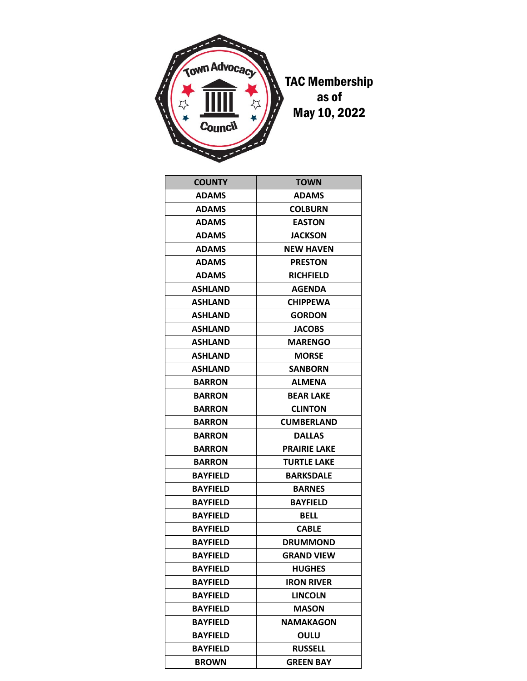

| <b>COUNTY</b>   | <b>TOWN</b>         |
|-----------------|---------------------|
| <b>ADAMS</b>    | ADAMS               |
| <b>ADAMS</b>    | <b>COLBURN</b>      |
| <b>ADAMS</b>    | <b>EASTON</b>       |
| <b>ADAMS</b>    | <b>JACKSON</b>      |
| <b>ADAMS</b>    | <b>NEW HAVEN</b>    |
| <b>ADAMS</b>    | <b>PRESTON</b>      |
| <b>ADAMS</b>    | <b>RICHFIELD</b>    |
| <b>ASHLAND</b>  | <b>AGENDA</b>       |
| <b>ASHLAND</b>  | <b>CHIPPEWA</b>     |
| <b>ASHLAND</b>  | <b>GORDON</b>       |
| <b>ASHLAND</b>  | <b>JACOBS</b>       |
| <b>ASHLAND</b>  | <b>MARENGO</b>      |
| <b>ASHLAND</b>  | <b>MORSE</b>        |
| <b>ASHLAND</b>  | <b>SANBORN</b>      |
| <b>BARRON</b>   | <b>ALMENA</b>       |
| <b>BARRON</b>   | <b>BEAR LAKE</b>    |
| <b>BARRON</b>   | <b>CLINTON</b>      |
| <b>BARRON</b>   | <b>CUMBERLAND</b>   |
| <b>BARRON</b>   | <b>DALLAS</b>       |
| <b>BARRON</b>   | <b>PRAIRIE LAKE</b> |
| <b>BARRON</b>   | <b>TURTLE LAKE</b>  |
| <b>BAYFIELD</b> | <b>BARKSDALE</b>    |
| <b>BAYFIELD</b> | <b>BARNES</b>       |
| <b>BAYFIELD</b> | <b>BAYFIELD</b>     |
| <b>BAYFIELD</b> | BELL                |
| <b>BAYFIELD</b> | <b>CABLE</b>        |
| <b>BAYFIELD</b> | <b>DRUMMOND</b>     |
| <b>BAYFIELD</b> | <b>GRAND VIEW</b>   |
| <b>BAYFIELD</b> | <b>HUGHES</b>       |
| <b>BAYFIELD</b> | <b>IRON RIVER</b>   |
| <b>BAYFIELD</b> | <b>LINCOLN</b>      |
| <b>BAYFIELD</b> | <b>MASON</b>        |
| <b>BAYFIELD</b> | <b>NAMAKAGON</b>    |
| <b>BAYFIELD</b> | OULU                |
| <b>BAYFIELD</b> | <b>RUSSELL</b>      |
| <b>BROWN</b>    | <b>GREEN BAY</b>    |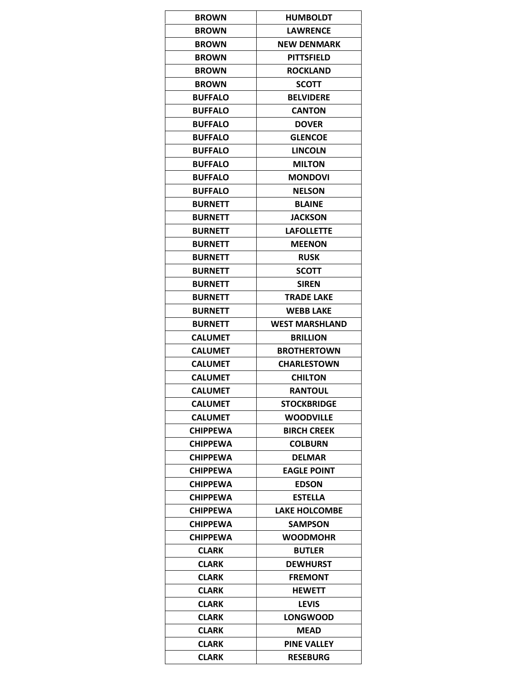| <b>BROWN</b>                    | <b>HUMBOLDT</b>                  |
|---------------------------------|----------------------------------|
| <b>BROWN</b>                    | <b>LAWRENCE</b>                  |
| <b>BROWN</b>                    | <b>NEW DENMARK</b>               |
| <b>BROWN</b>                    | PITTSFIELD                       |
| <b>BROWN</b>                    | <b>ROCKLAND</b>                  |
| <b>BROWN</b>                    | <b>SCOTT</b>                     |
| <b>BUFFALO</b>                  | <b>BELVIDERE</b>                 |
| <b>BUFFALO</b>                  | <b>CANTON</b>                    |
| <b>BUFFALO</b>                  | <b>DOVER</b>                     |
| <b>BUFFALO</b>                  | <b>GLENCOE</b>                   |
| <b>BUFFALO</b>                  | <b>LINCOLN</b>                   |
| <b>BUFFALO</b>                  | <b>MILTON</b>                    |
| <b>BUFFALO</b>                  | <b>MONDOVI</b>                   |
| <b>BUFFALO</b>                  | <b>NELSON</b>                    |
| <b>BURNETT</b>                  | <b>BLAINE</b>                    |
| <b>BURNETT</b>                  | <b>JACKSON</b>                   |
| <b>BURNETT</b>                  | <b>LAFOLLETTE</b>                |
| <b>BURNETT</b>                  | <b>MEENON</b>                    |
| <b>BURNETT</b>                  | <b>RUSK</b>                      |
| <b>BURNETT</b>                  | <b>SCOTT</b>                     |
| <b>BURNETT</b>                  | <b>SIREN</b>                     |
| <b>BURNETT</b>                  | <b>TRADE LAKE</b>                |
| <b>BURNETT</b>                  | <b>WEBB LAKE</b>                 |
| <b>BURNETT</b>                  | <b>WEST MARSHLAND</b>            |
| <b>CALUMET</b>                  | <b>BRILLION</b>                  |
| <b>CALUMET</b>                  | <b>BROTHERTOWN</b>               |
| <b>CALUMET</b>                  | <b>CHARLESTOWN</b>               |
| <b>CALUMET</b>                  | <b>CHILTON</b>                   |
| <b>CALUMET</b>                  | <b>RANTOUL</b>                   |
| <b>CALUMET</b>                  | <b>STOCKBRIDGE</b>               |
| <b>CALUMET</b>                  | <b>WOODVILLE</b>                 |
| <b>CHIPPEWA</b>                 | <b>BIRCH CREEK</b>               |
| <b>CHIPPEWA</b>                 | <b>COLBURN</b>                   |
| <b>CHIPPEWA</b>                 | <b>DELMAR</b>                    |
| <b>CHIPPEWA</b>                 | <b>EAGLE POINT</b>               |
| <b>CHIPPEWA</b>                 | <b>EDSON</b>                     |
| <b>CHIPPEWA</b>                 | <b>ESTELLA</b>                   |
| <b>CHIPPEWA</b>                 | <b>LAKE HOLCOMBE</b>             |
| <b>CHIPPEWA</b>                 | <b>SAMPSON</b>                   |
|                                 |                                  |
| <b>CHIPPEWA</b><br><b>CLARK</b> | <b>WOODMOHR</b><br><b>BUTLER</b> |
| <b>CLARK</b>                    | <b>DEWHURST</b>                  |
| <b>CLARK</b>                    | <b>FREMONT</b>                   |
| <b>CLARK</b>                    | <b>HEWETT</b>                    |
| <b>CLARK</b>                    |                                  |
|                                 | <b>LEVIS</b>                     |
| <b>CLARK</b>                    | <b>LONGWOOD</b>                  |
| <b>CLARK</b>                    | <b>MEAD</b>                      |
| <b>CLARK</b>                    | <b>PINE VALLEY</b>               |
| <b>CLARK</b>                    | <b>RESEBURG</b>                  |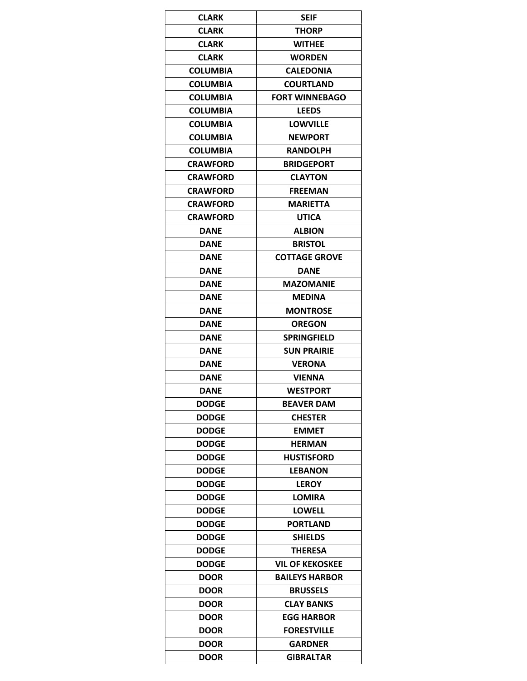| <b>CLARK</b>                 | <b>SEIF</b>            |
|------------------------------|------------------------|
| <b>CLARK</b>                 | <b>THORP</b>           |
| <b>CLARK</b>                 | <b>WITHEE</b>          |
| <b>CLARK</b>                 | <b>WORDEN</b>          |
| <b>COLUMBIA</b>              | <b>CALEDONIA</b>       |
| <b>COLUMBIA</b>              | <b>COURTLAND</b>       |
| <b>COLUMBIA</b>              | <b>FORT WINNEBAGO</b>  |
| <b>COLUMBIA</b>              | <b>LEEDS</b>           |
| <b>COLUMBIA</b>              | <b>LOWVILLE</b>        |
| <b>COLUMBIA</b>              | <b>NEWPORT</b>         |
| <b>COLUMBIA</b>              | <b>RANDOLPH</b>        |
| <b>CRAWFORD</b>              | <b>BRIDGEPORT</b>      |
| <b>CRAWFORD</b>              | <b>CLAYTON</b>         |
| <b>CRAWFORD</b>              | <b>FREEMAN</b>         |
| <b>CRAWFORD</b>              | MARIETTA               |
| <b>CRAWFORD</b>              | <b>UTICA</b>           |
| <b>DANE</b>                  | <b>ALBION</b>          |
| <b>DANE</b>                  | <b>BRISTOL</b>         |
| <b>DANE</b>                  | <b>COTTAGE GROVE</b>   |
| <b>DANE</b>                  | <b>DANE</b>            |
| <b>DANE</b>                  | <b>MAZOMANIE</b>       |
| <b>DANE</b>                  | <b>MEDINA</b>          |
| <b>DANE</b>                  | <b>MONTROSE</b>        |
| <b>DANE</b>                  | OREGON                 |
| <b>DANE</b>                  | <b>SPRINGFIELD</b>     |
| <b>DANE</b>                  | <b>SUN PRAIRIE</b>     |
| <b>DANE</b>                  | <b>VERONA</b>          |
| <b>DANE</b>                  | <b>VIENNA</b>          |
| <b>DANE</b>                  | WESTPORT               |
|                              | <b>BEAVER DAM</b>      |
| <b>DODGE</b><br><b>DODGE</b> | <b>CHESTER</b>         |
| <b>DODGE</b>                 | <b>EMMET</b>           |
|                              |                        |
| <b>DODGE</b>                 | <b>HERMAN</b>          |
| <b>DODGE</b>                 | <b>HUSTISFORD</b>      |
| <b>DODGE</b>                 | <b>LEBANON</b>         |
| <b>DODGE</b>                 | <b>LEROY</b>           |
| <b>DODGE</b>                 | <b>LOMIRA</b>          |
| <b>DODGE</b>                 | LOWELL                 |
| <b>DODGE</b>                 | <b>PORTLAND</b>        |
| <b>DODGE</b>                 | <b>SHIELDS</b>         |
| <b>DODGE</b>                 | <b>THERESA</b>         |
| <b>DODGE</b>                 | <b>VIL OF KEKOSKEE</b> |
| <b>DOOR</b>                  | <b>BAILEYS HARBOR</b>  |
| <b>DOOR</b>                  | <b>BRUSSELS</b>        |
| <b>DOOR</b>                  | <b>CLAY BANKS</b>      |
| <b>DOOR</b>                  | <b>EGG HARBOR</b>      |
| <b>DOOR</b>                  | <b>FORESTVILLE</b>     |
| <b>DOOR</b>                  | GARDNER                |
| <b>DOOR</b>                  | <b>GIBRALTAR</b>       |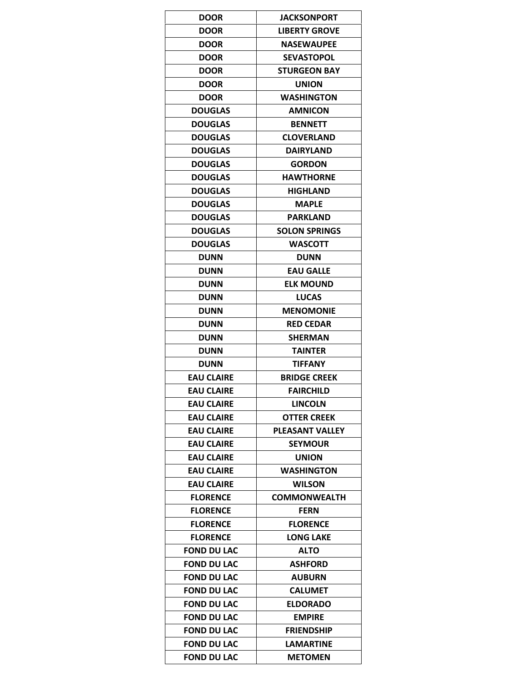| <b>DOOR</b>        | <b>JACKSONPORT</b>     |
|--------------------|------------------------|
| <b>DOOR</b>        | <b>LIBERTY GROVE</b>   |
| <b>DOOR</b>        | <b>NASEWAUPEE</b>      |
| <b>DOOR</b>        | <b>SEVASTOPOL</b>      |
| <b>DOOR</b>        | <b>STURGEON BAY</b>    |
| <b>DOOR</b>        | <b>UNION</b>           |
| <b>DOOR</b>        | <b>WASHINGTON</b>      |
| <b>DOUGLAS</b>     | AMNICON                |
| <b>DOUGLAS</b>     | <b>BENNETT</b>         |
| <b>DOUGLAS</b>     | <b>CLOVERLAND</b>      |
| <b>DOUGLAS</b>     | <b>DAIRYLAND</b>       |
| <b>DOUGLAS</b>     | <b>GORDON</b>          |
| <b>DOUGLAS</b>     | <b>HAWTHORNE</b>       |
| <b>DOUGLAS</b>     | <b>HIGHLAND</b>        |
| <b>DOUGLAS</b>     | <b>MAPLE</b>           |
| <b>DOUGLAS</b>     | <b>PARKLAND</b>        |
| <b>DOUGLAS</b>     | <b>SOLON SPRINGS</b>   |
| <b>DOUGLAS</b>     | <b>WASCOTT</b>         |
| <b>DUNN</b>        | <b>DUNN</b>            |
| <b>DUNN</b>        | <b>EAU GALLE</b>       |
| <b>DUNN</b>        | <b>ELK MOUND</b>       |
| <b>DUNN</b>        | <b>LUCAS</b>           |
| <b>DUNN</b>        | <b>MENOMONIE</b>       |
| <b>DUNN</b>        | <b>RED CEDAR</b>       |
| <b>DUNN</b>        | <b>SHERMAN</b>         |
| <b>DUNN</b>        | <b>TAINTER</b>         |
| <b>DUNN</b>        | <b>TIFFANY</b>         |
| <b>EAU CLAIRE</b>  | <b>BRIDGE CREEK</b>    |
| <b>EAU CLAIRE</b>  | <b>FAIRCHILD</b>       |
| <b>EAU CLAIRE</b>  | <b>LINCOLN</b>         |
| <b>EAU CLAIRE</b>  | <b>OTTER CREEK</b>     |
| <b>EAU CLAIRE</b>  | <b>PLEASANT VALLEY</b> |
| <b>EAU CLAIRE</b>  | <b>SEYMOUR</b>         |
| <b>EAU CLAIRE</b>  | <b>UNION</b>           |
| <b>EAU CLAIRE</b>  | WASHINGTON             |
| <b>EAU CLAIRE</b>  | <b>WILSON</b>          |
| <b>FLORENCE</b>    | <b>COMMONWEALTH</b>    |
| <b>FLORENCE</b>    | <b>FERN</b>            |
| <b>FLORENCE</b>    | <b>FLORENCE</b>        |
| <b>FLORENCE</b>    | <b>LONG LAKE</b>       |
| <b>FOND DU LAC</b> | ALTO                   |
| <b>FOND DU LAC</b> | <b>ASHFORD</b>         |
| <b>FOND DU LAC</b> | <b>AUBURN</b>          |
| <b>FOND DU LAC</b> | <b>CALUMET</b>         |
| <b>FOND DU LAC</b> | <b>ELDORADO</b>        |
|                    | <b>EMPIRE</b>          |
| <b>FOND DU LAC</b> |                        |
| <b>FOND DU LAC</b> | <b>FRIENDSHIP</b>      |
| <b>FOND DU LAC</b> | LAMARTINE              |
| <b>FOND DU LAC</b> | <b>METOMEN</b>         |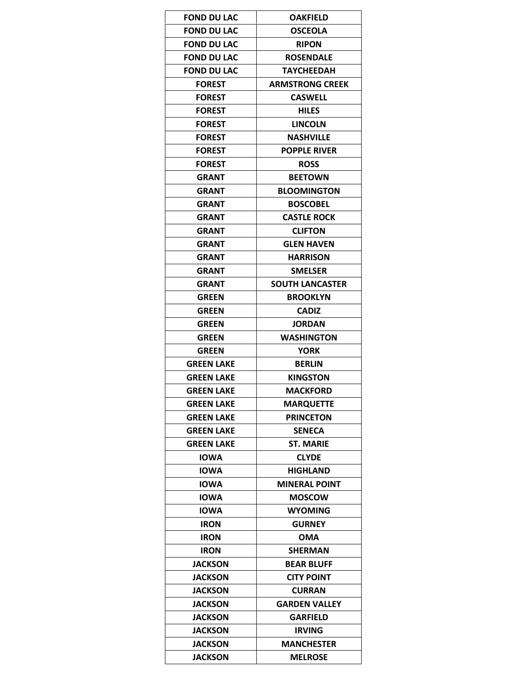| <b>FOND DU LAC</b> | <b>OAKFIELD</b>        |
|--------------------|------------------------|
| <b>FOND DU LAC</b> | <b>OSCEOLA</b>         |
| <b>FOND DU LAC</b> | <b>RIPON</b>           |
| <b>FOND DU LAC</b> | <b>ROSENDALE</b>       |
| <b>FOND DU LAC</b> | TAYCHEEDAH             |
| <b>FOREST</b>      | <b>ARMSTRONG CREEK</b> |
| <b>FOREST</b>      | <b>CASWELL</b>         |
| <b>FOREST</b>      | <b>HILES</b>           |
| <b>FOREST</b>      | <b>LINCOLN</b>         |
| <b>FOREST</b>      | <b>NASHVILLE</b>       |
| <b>FOREST</b>      | <b>POPPLE RIVER</b>    |
| <b>FOREST</b>      | <b>ROSS</b>            |
| <b>GRANT</b>       | <b>BEETOWN</b>         |
| GRANT              | <b>BLOOMINGTON</b>     |
| <b>GRANT</b>       | <b>BOSCOBEL</b>        |
| <b>GRANT</b>       | <b>CASTLE ROCK</b>     |
| <b>GRANT</b>       | <b>CLIFTON</b>         |
| <b>GRANT</b>       | <b>GLEN HAVEN</b>      |
| <b>GRANT</b>       | <b>HARRISON</b>        |
| <b>GRANT</b>       | <b>SMELSER</b>         |
| <b>GRANT</b>       | <b>SOUTH LANCASTER</b> |
| <b>GREEN</b>       | <b>BROOKLYN</b>        |
| <b>GREEN</b>       | <b>CADIZ</b>           |
| <b>GREEN</b>       | <b>JORDAN</b>          |
| <b>GREEN</b>       | <b>WASHINGTON</b>      |
| GREEN              | <b>YORK</b>            |
| <b>GREEN LAKE</b>  | <b>BERLIN</b>          |
| GREEN LAKE         | <b>KINGSTON</b>        |
| GREEN LAKE         | <b>MACKFORD</b>        |
| <b>GREEN LAKE</b>  | <b>MARQUETTE</b>       |
| <b>GREEN LAKE</b>  | <b>PRINCETON</b>       |
| <b>GREEN LAKE</b>  | <b>SENECA</b>          |
| GREEN LAKE         | <b>ST. MARIE</b>       |
| <b>IOWA</b>        | <b>CLYDE</b>           |
| <b>IOWA</b>        | <b>HIGHLAND</b>        |
| <b>IOWA</b>        | <b>MINERAL POINT</b>   |
| <b>IOWA</b>        | <b>MOSCOW</b>          |
| <b>IOWA</b>        | <b>WYOMING</b>         |
| <b>IRON</b>        | <b>GURNEY</b>          |
| <b>IRON</b>        | <b>OMA</b>             |
| <b>IRON</b>        | <b>SHERMAN</b>         |
| <b>JACKSON</b>     | <b>BEAR BLUFF</b>      |
| <b>JACKSON</b>     | <b>CITY POINT</b>      |
| <b>JACKSON</b>     | <b>CURRAN</b>          |
| <b>JACKSON</b>     | <b>GARDEN VALLEY</b>   |
| <b>JACKSON</b>     | <b>GARFIELD</b>        |
| <b>JACKSON</b>     |                        |
|                    | IRVING                 |
| <b>JACKSON</b>     | <b>MANCHESTER</b>      |
| <b>JACKSON</b>     | <b>MELROSE</b>         |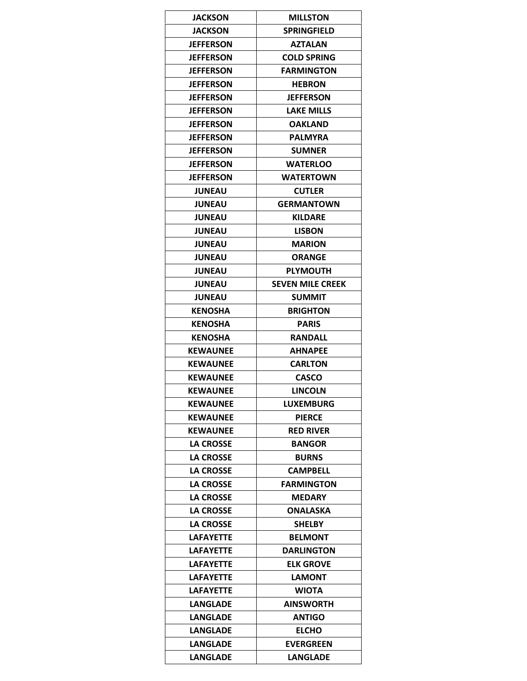| <b>JACKSON</b>   | <b>MILLSTON</b>         |
|------------------|-------------------------|
| <b>JACKSON</b>   | <b>SPRINGFIELD</b>      |
| <b>JEFFERSON</b> | <b>AZTALAN</b>          |
| <b>JEFFERSON</b> | <b>COLD SPRING</b>      |
| <b>JEFFERSON</b> | <b>FARMINGTON</b>       |
| <b>JEFFERSON</b> | <b>HEBRON</b>           |
| <b>JEFFERSON</b> | <b>JEFFERSON</b>        |
| <b>JEFFERSON</b> | <b>LAKE MILLS</b>       |
| <b>JEFFERSON</b> | OAKLAND                 |
| <b>JEFFERSON</b> | <b>PALMYRA</b>          |
| <b>JEFFERSON</b> | <b>SUMNER</b>           |
| <b>JEFFERSON</b> | <b>WATERLOO</b>         |
| <b>JEFFERSON</b> | <b>WATERTOWN</b>        |
| <b>JUNEAU</b>    | <b>CUTLER</b>           |
| <b>JUNEAU</b>    | <b>GERMANTOWN</b>       |
| <b>JUNEAU</b>    | <b>KILDARE</b>          |
| <b>JUNEAU</b>    | <b>LISBON</b>           |
| <b>JUNEAU</b>    | <b>MARION</b>           |
| <b>JUNEAU</b>    | <b>ORANGE</b>           |
| <b>JUNEAU</b>    | <b>PLYMOUTH</b>         |
| <b>JUNEAU</b>    | <b>SEVEN MILE CREEK</b> |
| <b>JUNEAU</b>    | <b>SUMMIT</b>           |
| <b>KENOSHA</b>   | <b>BRIGHTON</b>         |
| <b>KENOSHA</b>   | <b>PARIS</b>            |
| KENOSHA          | <b>RANDALL</b>          |
| <b>KEWAUNEE</b>  | <b>AHNAPEE</b>          |
| <b>KEWAUNEE</b>  | <b>CARLTON</b>          |
| <b>KEWAUNEE</b>  | <b>CASCO</b>            |
| <b>KEWAUNEE</b>  | <b>LINCOLN</b>          |
| <b>KEWAUNEE</b>  | <b>LUXEMBURG</b>        |
| <b>KEWAUNEE</b>  | <b>PIERCE</b>           |
| <b>KEWAUNEE</b>  | <b>RED RIVER</b>        |
| <b>LA CROSSE</b> | <b>BANGOR</b>           |
| <b>LA CROSSE</b> | <b>BURNS</b>            |
| <b>LA CROSSE</b> | <b>CAMPBELL</b>         |
| <b>LA CROSSE</b> | <b>FARMINGTON</b>       |
| <b>LA CROSSE</b> | MEDARY                  |
| <b>LA CROSSE</b> | ONALASKA                |
| <b>LA CROSSE</b> | <b>SHELBY</b>           |
| <b>LAFAYETTE</b> | <b>BELMONT</b>          |
| <b>LAFAYETTE</b> | <b>DARLINGTON</b>       |
| LAFAYETTE        | <b>ELK GROVE</b>        |
| LAFAYETTE        | LAMONT                  |
| <b>LAFAYETTE</b> | <b>WIOTA</b>            |
| <b>LANGLADE</b>  | <b>AINSWORTH</b>        |
| <b>LANGLADE</b>  | <b>ANTIGO</b>           |
| <b>LANGLADE</b>  | <b>ELCHO</b>            |
| <b>LANGLADE</b>  | <b>EVERGREEN</b>        |
| <b>LANGLADE</b>  | <b>LANGLADE</b>         |
|                  |                         |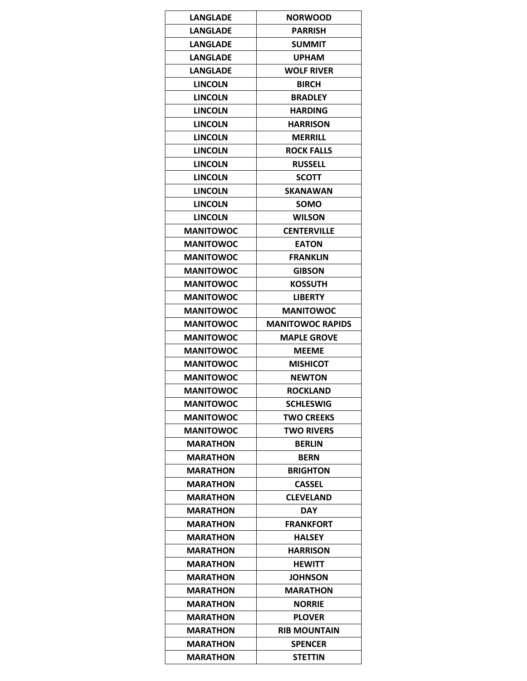| LANGLADE         | <b>NORWOOD</b>          |
|------------------|-------------------------|
| <b>LANGLADE</b>  | <b>PARRISH</b>          |
| <b>LANGLADE</b>  | <b>SUMMIT</b>           |
| LANGLADE         | <b>UPHAM</b>            |
| <b>LANGLADE</b>  | <b>WOLF RIVER</b>       |
| <b>LINCOLN</b>   | <b>BIRCH</b>            |
| <b>LINCOLN</b>   | <b>BRADLEY</b>          |
| <b>LINCOLN</b>   | <b>HARDING</b>          |
| <b>LINCOLN</b>   | HARRISON                |
| <b>LINCOLN</b>   | <b>MERRILL</b>          |
| <b>LINCOLN</b>   | <b>ROCK FALLS</b>       |
| <b>LINCOLN</b>   | <b>RUSSELL</b>          |
| <b>LINCOLN</b>   | <b>SCOTT</b>            |
| <b>LINCOLN</b>   | SKANAWAN                |
| <b>LINCOLN</b>   | <b>SOMO</b>             |
| <b>LINCOLN</b>   | WILSON                  |
| <b>MANITOWOC</b> | <b>CENTERVILLE</b>      |
| <b>MANITOWOC</b> | <b>EATON</b>            |
| <b>MANITOWOC</b> | <b>FRANKLIN</b>         |
| <b>MANITOWOC</b> | <b>GIBSON</b>           |
| <b>MANITOWOC</b> | <b>KOSSUTH</b>          |
| <b>MANITOWOC</b> | LIBERTY                 |
| <b>MANITOWOC</b> | <b>MANITOWOC</b>        |
| <b>MANITOWOC</b> | <b>MANITOWOC RAPIDS</b> |
| <b>MANITOWOC</b> | <b>MAPLE GROVE</b>      |
| <b>MANITOWOC</b> | MEEME                   |
| <b>MANITOWOC</b> | <b>MISHICOT</b>         |
| <b>MANITOWOC</b> | <b>NEWTON</b>           |
| <b>MANITOWOC</b> | <b>ROCKLAND</b>         |
| <b>MANITOWOC</b> | <b>SCHLESWIG</b>        |
| <b>MANITOWOC</b> | TWO CREEKS              |
| <b>MANITOWOC</b> | <b>TWO RIVERS</b>       |
| <b>MARATHON</b>  | <b>BERLIN</b>           |
| <b>MARATHON</b>  | <b>BERN</b>             |
| <b>MARATHON</b>  | <b>BRIGHTON</b>         |
| <b>MARATHON</b>  | CASSEL                  |
| <b>MARATHON</b>  | <b>CLEVELAND</b>        |
| <b>MARATHON</b>  | <b>DAY</b>              |
| <b>MARATHON</b>  | <b>FRANKFORT</b>        |
| MARATHON         | <b>HALSEY</b>           |
| MARATHON         | HARRISON                |
| <b>MARATHON</b>  | <b>HEWITT</b>           |
| MARATHON         | <b>JOHNSON</b>          |
| <b>MARATHON</b>  | MARATHON                |
| MARATHON         | <b>NORRIE</b>           |
| <b>MARATHON</b>  | <b>PLOVER</b>           |
| MARATHON         | <b>RIB MOUNTAIN</b>     |
| MARATHON         | <b>SPENCER</b>          |
| <b>MARATHON</b>  | <b>STETTIN</b>          |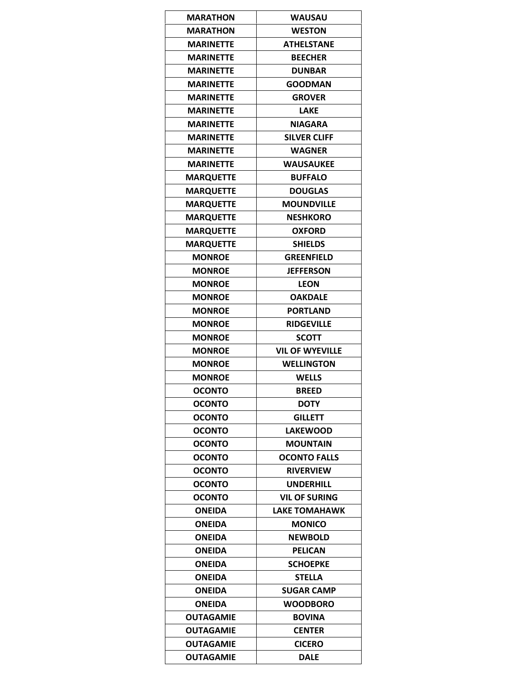| <b>MARATHON</b>  | <b>WAUSAU</b>          |
|------------------|------------------------|
| <b>MARATHON</b>  | <b>WESTON</b>          |
| <b>MARINETTE</b> | <b>ATHELSTANE</b>      |
| <b>MARINETTE</b> | <b>BEECHER</b>         |
| <b>MARINETTE</b> | <b>DUNBAR</b>          |
| <b>MARINETTE</b> | <b>GOODMAN</b>         |
| <b>MARINETTE</b> | <b>GROVER</b>          |
| <b>MARINETTE</b> | <b>LAKE</b>            |
| <b>MARINETTE</b> | <b>NIAGARA</b>         |
| <b>MARINETTE</b> | <b>SILVER CLIFF</b>    |
| <b>MARINETTE</b> | <b>WAGNER</b>          |
| <b>MARINETTE</b> | <b>WAUSAUKEE</b>       |
| <b>MARQUETTE</b> | <b>BUFFALO</b>         |
| <b>MARQUETTE</b> | <b>DOUGLAS</b>         |
| <b>MARQUETTE</b> | <b>MOUNDVILLE</b>      |
| <b>MARQUETTE</b> | <b>NESHKORO</b>        |
| <b>MARQUETTE</b> | <b>OXFORD</b>          |
| <b>MARQUETTE</b> | <b>SHIELDS</b>         |
| <b>MONROE</b>    | <b>GREENFIELD</b>      |
| <b>MONROE</b>    | <b>JEFFERSON</b>       |
| <b>MONROE</b>    | <b>LEON</b>            |
| <b>MONROE</b>    | <b>OAKDALE</b>         |
| <b>MONROE</b>    | <b>PORTLAND</b>        |
| <b>MONROE</b>    | <b>RIDGEVILLE</b>      |
| <b>MONROE</b>    | <b>SCOTT</b>           |
| <b>MONROE</b>    | <b>VIL OF WYEVILLE</b> |
| <b>MONROE</b>    | <b>WELLINGTON</b>      |
| <b>MONROE</b>    | <b>WELLS</b>           |
| OCONTO           | <b>BREED</b>           |
| <b>OCONTO</b>    | <b>DOTY</b>            |
| <b>OCONTO</b>    | <b>GILLETT</b>         |
| <b>OCONTO</b>    | <b>LAKEWOOD</b>        |
| <b>OCONTO</b>    | <b>MOUNTAIN</b>        |
| <b>OCONTO</b>    | <b>OCONTO FALLS</b>    |
| <b>OCONTO</b>    | <b>RIVERVIEW</b>       |
| <b>OCONTO</b>    | <b>UNDERHILL</b>       |
| <b>OCONTO</b>    | <b>VIL OF SURING</b>   |
| <b>ONEIDA</b>    | LAKE TOMAHAWK          |
| <b>ONEIDA</b>    | <b>MONICO</b>          |
| <b>ONEIDA</b>    | <b>NEWBOLD</b>         |
| <b>ONEIDA</b>    | <b>PELICAN</b>         |
| <b>ONEIDA</b>    | <b>SCHOEPKE</b>        |
| <b>ONEIDA</b>    | <b>STELLA</b>          |
| <b>ONEIDA</b>    | <b>SUGAR CAMP</b>      |
| <b>ONEIDA</b>    | <b>WOODBORO</b>        |
|                  |                        |
| <b>OUTAGAMIE</b> | <b>BOVINA</b>          |
| OUTAGAMIE        | <b>CENTER</b>          |
| <b>OUTAGAMIE</b> | <b>CICERO</b>          |
| <b>OUTAGAMIE</b> | <b>DALE</b>            |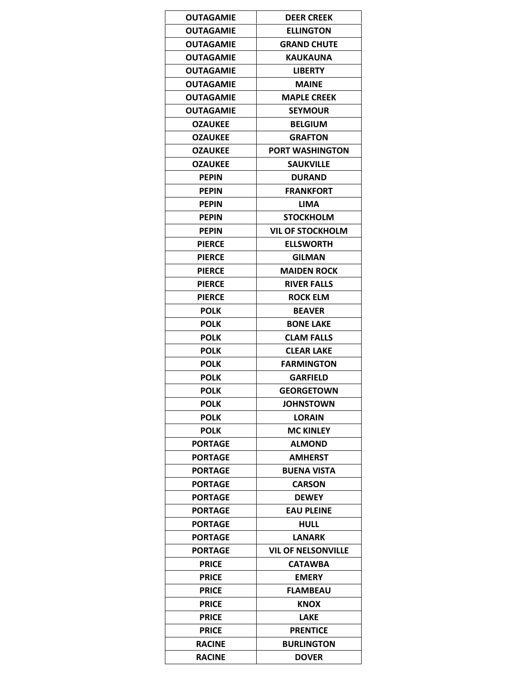| <b>OUTAGAMIE</b> | <b>DEER CREEK</b>                    |
|------------------|--------------------------------------|
| OUTAGAMIE        | <b>ELLINGTON</b>                     |
| <b>OUTAGAMIE</b> | <b>GRAND CHUTE</b>                   |
| <b>OUTAGAMIE</b> | <b>KAUKAUNA</b>                      |
| OUTAGAMIE        | <b>LIBERTY</b>                       |
| <b>OUTAGAMIE</b> | MAINE                                |
| <b>OUTAGAMIE</b> | <b>MAPLE CREEK</b>                   |
| OUTAGAMIE        | <b>SEYMOUR</b>                       |
| <b>OZAUKEE</b>   | <b>BELGIUM</b>                       |
| <b>OZAUKEE</b>   | <b>GRAFTON</b>                       |
| <b>OZAUKEE</b>   | <b>PORT WASHINGTON</b>               |
| <b>OZAUKEE</b>   | <b>SAUKVILLE</b>                     |
| <b>PEPIN</b>     | <b>DURAND</b>                        |
| <b>PEPIN</b>     | <b>FRANKFORT</b>                     |
| <b>PEPIN</b>     | LIMA                                 |
| <b>PEPIN</b>     | <b>STOCKHOLM</b>                     |
| <b>PEPIN</b>     | <b>VIL OF STOCKHOLM</b>              |
| <b>PIERCE</b>    | <b>ELLSWORTH</b>                     |
| <b>PIERCE</b>    | <b>GILMAN</b>                        |
| <b>PIERCE</b>    | <b>MAIDEN ROCK</b>                   |
| <b>PIERCE</b>    | <b>RIVER FALLS</b>                   |
| <b>PIERCE</b>    | <b>ROCK ELM</b>                      |
| <b>POLK</b>      | <b>BEAVER</b>                        |
|                  |                                      |
| <b>POLK</b>      | <b>BONE LAKE</b>                     |
| <b>POLK</b>      | <b>CLAM FALLS</b>                    |
| <b>POLK</b>      | <b>CLEAR LAKE</b>                    |
| <b>POLK</b>      | <b>FARMINGTON</b>                    |
| <b>POLK</b>      | <b>GARFIELD</b><br><b>GEORGETOWN</b> |
| <b>POLK</b>      |                                      |
| <b>POLK</b>      | <b>JOHNSTOWN</b>                     |
| <b>POLK</b>      | LORAIN                               |
| <b>POLK</b>      | <b>MC KINLEY</b>                     |
| PORTAGE          | <b>ALMOND</b>                        |
| <b>PORTAGE</b>   | <b>AMHERST</b>                       |
| <b>PORTAGE</b>   | <b>BUENA VISTA</b>                   |
| <b>PORTAGE</b>   | <b>CARSON</b>                        |
| PORTAGE          | <b>DEWEY</b>                         |
| <b>PORTAGE</b>   | <b>EAU PLEINE</b>                    |
| PORTAGE          | HULL                                 |
| <b>PORTAGE</b>   | <b>LANARK</b>                        |
| PORTAGE          | <b>VIL OF NELSONVILLE</b>            |
| <b>PRICE</b>     | CATAWBA                              |
| <b>PRICE</b>     | <b>EMERY</b>                         |
| <b>PRICE</b>     | <b>FLAMBEAU</b>                      |
| <b>PRICE</b>     | <b>KNOX</b>                          |
| <b>PRICE</b>     | LAKE                                 |
| <b>PRICE</b>     | <b>PRENTICE</b>                      |
| <b>RACINE</b>    | <b>BURLINGTON</b>                    |
| <b>RACINE</b>    | <b>DOVER</b>                         |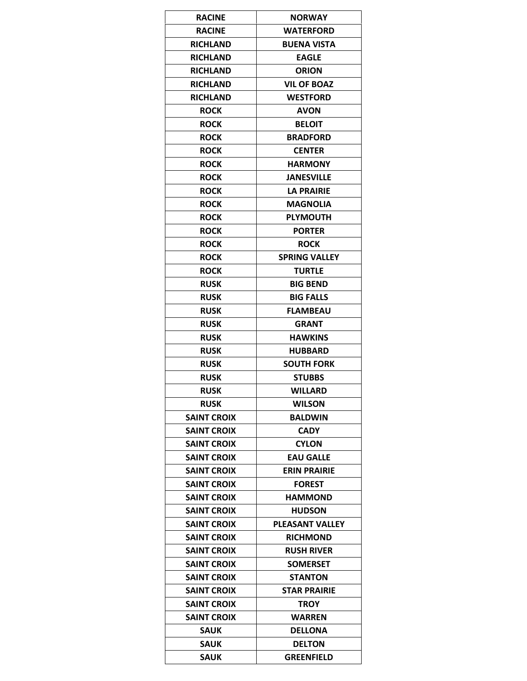| <b>RACINE</b>      | <b>NORWAY</b>          |
|--------------------|------------------------|
| <b>RACINE</b>      | <b>WATERFORD</b>       |
| <b>RICHLAND</b>    | <b>BUENA VISTA</b>     |
| <b>RICHLAND</b>    | <b>EAGLE</b>           |
| <b>RICHLAND</b>    | <b>ORION</b>           |
| <b>RICHLAND</b>    | <b>VIL OF BOAZ</b>     |
| <b>RICHLAND</b>    | <b>WESTFORD</b>        |
| <b>ROCK</b>        | <b>AVON</b>            |
| <b>ROCK</b>        | <b>BELOIT</b>          |
| <b>ROCK</b>        | <b>BRADFORD</b>        |
| <b>ROCK</b>        | <b>CENTER</b>          |
| <b>ROCK</b>        | HARMONY                |
| <b>ROCK</b>        | <b>JANESVILLE</b>      |
| <b>ROCK</b>        | LA PRAIRIE             |
| <b>ROCK</b>        | MAGNOLIA               |
| <b>ROCK</b>        | <b>PLYMOUTH</b>        |
| <b>ROCK</b>        | <b>PORTER</b>          |
| <b>ROCK</b>        | <b>ROCK</b>            |
| <b>ROCK</b>        | <b>SPRING VALLEY</b>   |
| <b>ROCK</b>        | <b>TURTLE</b>          |
| <b>RUSK</b>        | <b>BIG BEND</b>        |
| <b>RUSK</b>        | <b>BIG FALLS</b>       |
| <b>RUSK</b>        | <b>FLAMBEAU</b>        |
| <b>RUSK</b>        | <b>GRANT</b>           |
| <b>RUSK</b>        | <b>HAWKINS</b>         |
| <b>RUSK</b>        | <b>HUBBARD</b>         |
| <b>RUSK</b>        | SOUTH FORK             |
| <b>RUSK</b>        | <b>STUBBS</b>          |
| <b>RUSK</b>        | WILLARD                |
| <b>RUSK</b>        | <b>WILSON</b>          |
| <b>SAINT CROIX</b> | <b>BALDWIN</b>         |
| <b>SAINT CROIX</b> | <b>CADY</b>            |
| <b>SAINT CROIX</b> | <b>CYLON</b>           |
| <b>SAINT CROIX</b> | <b>EAU GALLE</b>       |
| <b>SAINT CROIX</b> | <b>ERIN PRAIRIE</b>    |
| <b>SAINT CROIX</b> | <b>FOREST</b>          |
| <b>SAINT CROIX</b> | <b>HAMMOND</b>         |
| <b>SAINT CROIX</b> | <b>HUDSON</b>          |
| <b>SAINT CROIX</b> | <b>PLEASANT VALLEY</b> |
| <b>SAINT CROIX</b> | <b>RICHMOND</b>        |
| SAINT CROIX        | <b>RUSH RIVER</b>      |
| <b>SAINT CROIX</b> | <b>SOMERSET</b>        |
| <b>SAINT CROIX</b> | <b>STANTON</b>         |
| <b>SAINT CROIX</b> | <b>STAR PRAIRIE</b>    |
| <b>SAINT CROIX</b> | <b>TROY</b>            |
| <b>SAINT CROIX</b> | WARREN                 |
| SAUK               | <b>DELLONA</b>         |
| SAUK               | <b>DELTON</b>          |
| <b>SAUK</b>        | GREENFIELD             |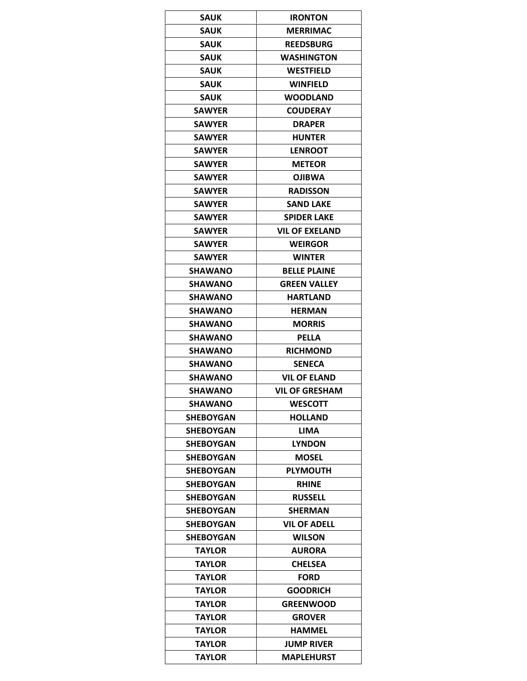| <b>SAUK</b>      | <b>IRONTON</b>      |
|------------------|---------------------|
| <b>SAUK</b>      | <b>MERRIMAC</b>     |
| <b>SAUK</b>      | <b>REEDSBURG</b>    |
| <b>SAUK</b>      | <b>WASHINGTON</b>   |
| <b>SAUK</b>      | WESTFIELD           |
| <b>SAUK</b>      | <b>WINFIELD</b>     |
| <b>SAUK</b>      | <b>WOODLAND</b>     |
| <b>SAWYER</b>    | <b>COUDERAY</b>     |
| <b>SAWYER</b>    | <b>DRAPER</b>       |
| <b>SAWYER</b>    | <b>HUNTER</b>       |
| <b>SAWYER</b>    | <b>LENROOT</b>      |
| <b>SAWYER</b>    | <b>METEOR</b>       |
| <b>SAWYER</b>    | <b>OJIBWA</b>       |
| <b>SAWYER</b>    | <b>RADISSON</b>     |
| <b>SAWYER</b>    | <b>SAND LAKE</b>    |
| <b>SAWYER</b>    | <b>SPIDER LAKE</b>  |
| <b>SAWYER</b>    | VIL OF EXELAND      |
| <b>SAWYER</b>    | WEIRGOR             |
| <b>SAWYER</b>    | <b>WINTER</b>       |
| <b>SHAWANO</b>   | <b>BELLE PLAINE</b> |
| <b>SHAWANO</b>   | <b>GREEN VALLEY</b> |
| <b>SHAWANO</b>   | <b>HARTLAND</b>     |
| <b>SHAWANO</b>   | HERMAN              |
| <b>SHAWANO</b>   | <b>MORRIS</b>       |
| <b>SHAWANO</b>   | <b>PELLA</b>        |
| <b>SHAWANO</b>   | <b>RICHMOND</b>     |
| <b>SHAWANO</b>   | <b>SENECA</b>       |
| <b>SHAWANO</b>   | <b>VIL OF ELAND</b> |
| SHAWANO          | VIL OF GRESHAM      |
| <b>SHAWANO</b>   | <b>WESCOTT</b>      |
| SHEBOYGAN        | <b>HOLLAND</b>      |
| <b>SHEBOYGAN</b> | LIMA                |
|                  | <b>LYNDON</b>       |
| SHEBOYGAN        | <b>MOSEL</b>        |
| <b>SHEBOYGAN</b> |                     |
| <b>SHEBOYGAN</b> | <b>PLYMOUTH</b>     |
| SHEBOYGAN        | <b>RHINE</b>        |
| <b>SHEBOYGAN</b> | <b>RUSSELL</b>      |
| SHEBOYGAN        | <b>SHERMAN</b>      |
| SHEBOYGAN        | <b>VIL OF ADELL</b> |
| <b>SHEBOYGAN</b> | <b>WILSON</b>       |
| TAYLOR           | <b>AURORA</b>       |
| <b>TAYLOR</b>    | <b>CHELSEA</b>      |
| TAYLOR           | <b>FORD</b>         |
| <b>TAYLOR</b>    | <b>GOODRICH</b>     |
| TAYLOR           | <b>GREENWOOD</b>    |
| <b>TAYLOR</b>    | <b>GROVER</b>       |
| TAYLOR           | HAMMEL              |
| TAYLOR           | <b>JUMP RIVER</b>   |
| <b>TAYLOR</b>    | <b>MAPLEHURST</b>   |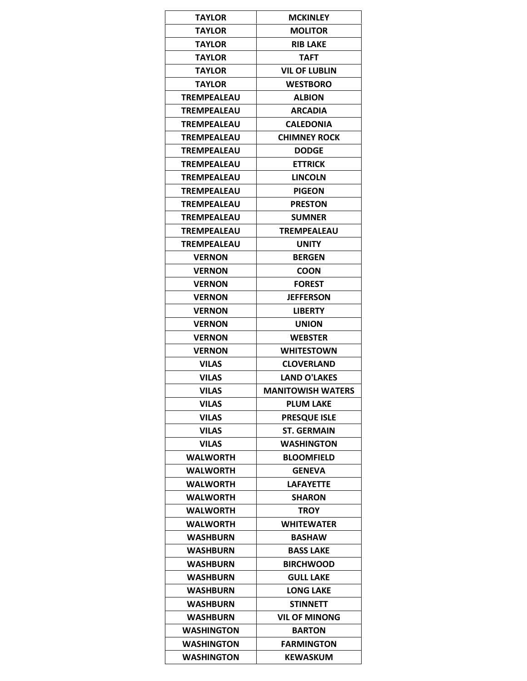| <b>TAYLOR</b>      | <b>MCKINLEY</b>          |
|--------------------|--------------------------|
| <b>TAYLOR</b>      | <b>MOLITOR</b>           |
| <b>TAYLOR</b>      | <b>RIB LAKE</b>          |
| <b>TAYLOR</b>      | <b>TAFT</b>              |
| TAYLOR             | <b>VIL OF LUBLIN</b>     |
| <b>TAYLOR</b>      | <b>WESTBORO</b>          |
| <b>TREMPEALEAU</b> | <b>ALBION</b>            |
| TREMPEALEAU        | <b>ARCADIA</b>           |
| <b>TREMPEALEAU</b> | <b>CALEDONIA</b>         |
| TREMPEALEAU        | <b>CHIMNEY ROCK</b>      |
| <b>TREMPEALEAU</b> | <b>DODGE</b>             |
| <b>TREMPEALEAU</b> | <b>ETTRICK</b>           |
| <b>TREMPEALEAU</b> | <b>LINCOLN</b>           |
| TREMPEALEAU        | <b>PIGEON</b>            |
| <b>TREMPEALEAU</b> | <b>PRESTON</b>           |
| TREMPEALEAU        | <b>SUMNER</b>            |
| TREMPEALEAU        | <b>TREMPEALEAU</b>       |
| <b>TREMPEALEAU</b> | <b>UNITY</b>             |
| <b>VERNON</b>      | <b>BERGEN</b>            |
| <b>VERNON</b>      | <b>COON</b>              |
| <b>VERNON</b>      | <b>FOREST</b>            |
| <b>VERNON</b>      | JEFFERSON                |
| <b>VERNON</b>      | <b>LIBERTY</b>           |
| <b>VERNON</b>      | <b>UNION</b>             |
| <b>VERNON</b>      | <b>WEBSTER</b>           |
| <b>VERNON</b>      | <b>WHITESTOWN</b>        |
| <b>VILAS</b>       | <b>CLOVERLAND</b>        |
| <b>VILAS</b>       | <b>LAND O'LAKES</b>      |
| <b>VILAS</b>       | <b>MANITOWISH WATERS</b> |
| <b>VILAS</b>       | <b>PLUM LAKE</b>         |
| <b>VILAS</b>       | <b>PRESOUE ISLE</b>      |
| <b>VILAS</b>       | <b>ST. GERMAIN</b>       |
| <b>VILAS</b>       | <b>WASHINGTON</b>        |
| <b>WALWORTH</b>    | <b>BLOOMFIELD</b>        |
| <b>WALWORTH</b>    | <b>GENEVA</b>            |
| <b>WALWORTH</b>    | <b>LAFAYETTE</b>         |
| <b>WALWORTH</b>    | <b>SHARON</b>            |
| WALWORTH           | <b>TROY</b>              |
| <b>WALWORTH</b>    | <b>WHITEWATER</b>        |
| <b>WASHBURN</b>    | <b>BASHAW</b>            |
| <b>WASHBURN</b>    | <b>BASS LAKE</b>         |
| <b>WASHBURN</b>    | <b>BIRCHWOOD</b>         |
| <b>WASHBURN</b>    | <b>GULL LAKE</b>         |
| <b>WASHBURN</b>    | <b>LONG LAKE</b>         |
| <b>WASHBURN</b>    | STINNETT                 |
| <b>WASHBURN</b>    | <b>VIL OF MINONG</b>     |
| <b>WASHINGTON</b>  | <b>BARTON</b>            |
| <b>WASHINGTON</b>  | <b>FARMINGTON</b>        |
| <b>WASHINGTON</b>  | <b>KEWASKUM</b>          |
|                    |                          |